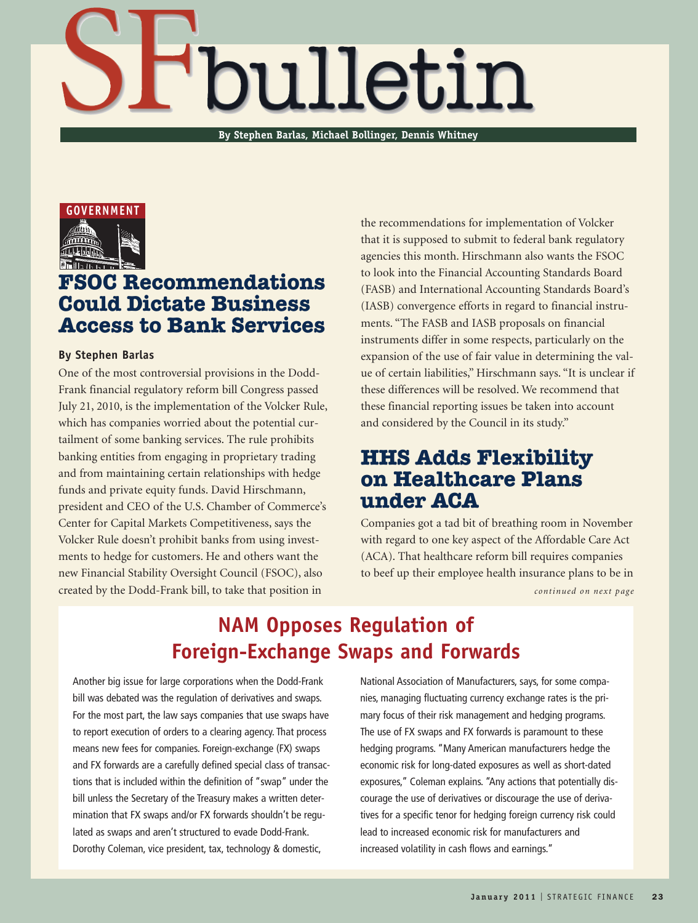# 'bulletin

**By Stephen Barlas, Michael Bollinger, Dennis Whitney**



## **FSOC Recommendations Could Dictate Business Access to Bank Services**

#### **By Stephen Barlas**

One of the most controversial provisions in the Dodd-Frank financial regulatory reform bill Congress passed July 21, 2010, is the implementation of the Volcker Rule, which has companies worried about the potential curtailment of some banking services. The rule prohibits banking entities from engaging in proprietary trading and from maintaining certain relationships with hedge funds and private equity funds. David Hirschmann, president and CEO of the U.S. Chamber of Commerce's Center for Capital Markets Competitiveness, says the Volcker Rule doesn't prohibit banks from using investments to hedge for customers. He and others want the new Financial Stability Oversight Council (FSOC), also created by the Dodd-Frank bill, to take that position in

the recommendations for implementation of Volcker that it is supposed to submit to federal bank regulatory agencies this month. Hirschmann also wants the FSOC to look into the Financial Accounting Standards Board (FASB) and International Accounting Standards Board's (IASB) convergence efforts in regard to financial instruments. "The FASB and IASB proposals on financial instruments differ in some respects, particularly on the expansion of the use of fair value in determining the value of certain liabilities," Hirschmann says. "It is unclear if these differences will be resolved. We recommend that these financial reporting issues be taken into account and considered by the Council in its study."

## **HHS Adds Flexibility on Healthcare Plans under ACA**

Companies got a tad bit of breathing room in November with regard to one key aspect of the Affordable Care Act (ACA). That healthcare reform bill requires companies to beef up their employee health insurance plans to be in

## **NAM Opposes Regulation of Foreign-Exchange Swaps and Forwards**

Another big issue for large corporations when the Dodd-Frank bill was debated was the regulation of derivatives and swaps. For the most part, the law says companies that use swaps have to report execution of orders to a clearing agency. That process means new fees for companies. Foreign-exchange (FX) swaps and FX forwards are a carefully defined special class of transactions that is included within the definition of "swap" under the bill unless the Secretary of the Treasury makes a written determination that FX swaps and/or FX forwards shouldn't be regulated as swaps and aren't structured to evade Dodd-Frank. Dorothy Coleman, vice president, tax, technology & domestic,

National Association of Manufacturers, says, for some companies, managing fluctuating currency exchange rates is the primary focus of their risk management and hedging programs. The use of FX swaps and FX forwards is paramount to these hedging programs. "Many American manufacturers hedge the economic risk for long-dated exposures as well as short-dated exposures," Coleman explains. "Any actions that potentially discourage the use of derivatives or discourage the use of derivatives for a specific tenor for hedging foreign currency risk could lead to increased economic risk for manufacturers and increased volatility in cash flows and earnings." continued on next page<br> **J**<br> **COMPTIGES**<br> **J**<br> **COMPTIGES**<br> **COMPTIGES**<br> **J**<br> **COMPTIGES**<br> **COMPTIGES**<br> **COMPTIGES**<br> **COMPTIGES**<br> **COMPTIGES**<br> **COMPTIGES**<br> **COMPTIGES**<br> **COMPTIGES**<br> **COMPTIGES**<br> **COMPTIGES**<br> **COMPTIGES**<br>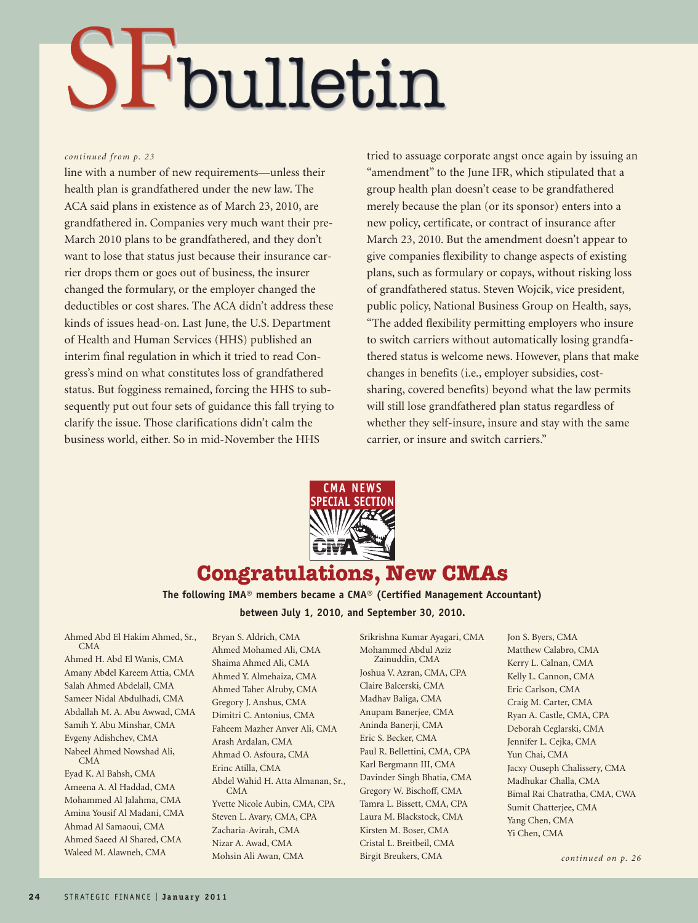## SFbulletin

#### *continued from p. 23*

line with a number of new requirements—unless their health plan is grandfathered under the new law. The ACA said plans in existence as of March 23, 2010, are grandfathered in. Companies very much want their pre-March 2010 plans to be grandfathered, and they don't want to lose that status just because their insurance carrier drops them or goes out of business, the insurer changed the formulary, or the employer changed the deductibles or cost shares. The ACA didn't address these kinds of issues head-on. Last June, the U.S. Department of Health and Human Services (HHS) published an interim final regulation in which it tried to read Congress's mind on what constitutes loss of grandfathered status. But fogginess remained, forcing the HHS to subsequently put out four sets of guidance this fall trying to clarify the issue. Those clarifications didn't calm the business world, either. So in mid-November the HHS

tried to assuage corporate angst once again by issuing an "amendment" to the June IFR, which stipulated that a group health plan doesn't cease to be grandfathered merely because the plan (or its sponsor) enters into a new policy, certificate, or contract of insurance after March 23, 2010. But the amendment doesn't appear to give companies flexibility to change aspects of existing plans, such as formulary or copays, without risking loss of grandfathered status. Steven Wojcik, vice president, public policy, National Business Group on Health, says, "The added flexibility permitting employers who insure to switch carriers without automatically losing grandfathered status is welcome news. However, plans that make changes in benefits (i.e., employer subsidies, costsharing, covered benefits) beyond what the law permits will still lose grandfathered plan status regardless of whether they self-insure, insure and stay with the same carrier, or insure and switch carriers."



### **Congratulations, New CMAs**

**The following IMA® members became a CMA® (Certified Management Accountant) between July 1, 2010, and September 30, 2010.** 

Ahmed Abd El Hakim Ahmed, Sr., CMA

Ahmed H. Abd El Wanis, CMA Amany Abdel Kareem Attia, CMA Salah Ahmed Abdelall, CMA Sameer Nidal Abdulhadi, CMA Abdallah M. A. Abu Awwad, CMA Samih Y. Abu Minshar, CMA Evgeny Adishchev, CMA Nabeel Ahmed Nowshad Ali, CMA

Eyad K. Al Bahsh, CMA Ameena A. Al Haddad, CMA Mohammed Al Jalahma, CMA Amina Yousif Al Madani, CMA Ahmad Al Samaoui, CMA Ahmed Saeed Al Shared, CMA Waleed M. Alawneh, CMA

Bryan S. Aldrich, CMA Ahmed Mohamed Ali, CMA Shaima Ahmed Ali, CMA Ahmed Y. Almehaiza, CMA Ahmed Taher Alruby, CMA Gregory J. Anshus, CMA Dimitri C. Antonius, CMA Faheem Mazher Anver Ali, CMA Arash Ardalan, CMA Ahmad O. Asfoura, CMA Erinc Atilla, CMA Abdel Wahid H. Atta Almanan, Sr., CMA Yvette Nicole Aubin, CMA, CPA Steven L. Avary, CMA, CPA Zacharia-Avirah, CMA Nizar A. Awad, CMA Mohsin Ali Awan, CMA

Srikrishna Kumar Ayagari, CMA Mohammed Abdul Aziz Zainuddin, CMA Joshua V. Azran, CMA, CPA Claire Balcerski, CMA Madhav Baliga, CMA Anupam Banerjee, CMA Aninda Banerji, CMA Eric S. Becker, CMA Paul R. Bellettini, CMA, CPA Karl Bergmann III, CMA Davinder Singh Bhatia, CMA Gregory W. Bischoff, CMA Tamra L. Bissett, CMA, CPA Laura M. Blackstock, CMA Kirsten M. Boser, CMA Cristal L. Breitbeil, CMA Birgit Breukers, CMA

Jon S. Byers, CMA Matthew Calabro, CMA Kerry L. Calnan, CMA Kelly L. Cannon, CMA Eric Carlson, CMA Craig M. Carter, CMA Ryan A. Castle, CMA, CPA Deborah Ceglarski, CMA Jennifer L. Cejka, CMA Yun Chai, CMA Jacxy Ouseph Chalissery, CMA Madhukar Challa, CMA Bimal Rai Chatratha, CMA, CWA Sumit Chatterjee, CMA Yang Chen, CMA Yi Chen, CMA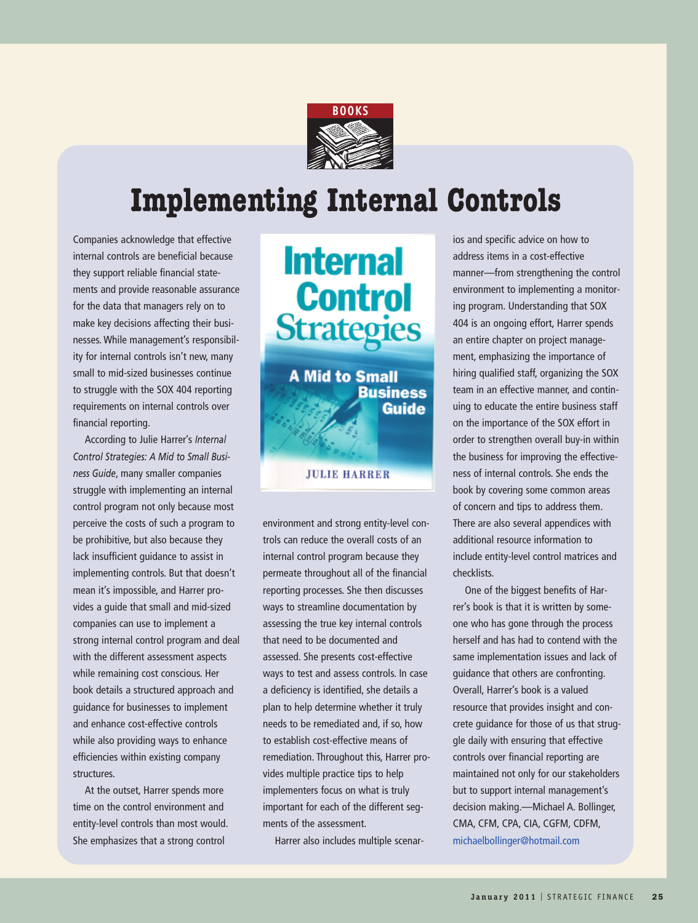

## **Implementing Internal Controls**

Companies acknowledge that effective internal controls are beneficial because they support reliable financial statements and provide reasonable assurance for the data that managers rely on to make key decisions affecting their businesses. While management's responsibility for internal controls isn't new, many small to mid-sized businesses continue to struggle with the SOX 404 reporting requirements on internal controls over financial reporting.

According to Julie Harrer's *Internal Control Strategies: A Mid to Small Business Guide*, many smaller companies struggle with implementing an internal control program not only because most perceive the costs of such a program to be prohibitive, but also because they lack insufficient guidance to assist in implementing controls. But that doesn't mean it's impossible, and Harrer provides a guide that small and mid-sized companies can use to implement a strong internal control program and deal with the different assessment aspects while remaining cost conscious. Her book details a structured approach and guidance for businesses to implement and enhance cost-effective controls while also providing ways to enhance efficiencies within existing company structures.

At the outset, Harrer spends more time on the control environment and entity-level controls than most would. She emphasizes that a strong control



environment and strong entity-level controls can reduce the overall costs of an internal control program because they permeate throughout all of the financial reporting processes. She then discusses ways to streamline documentation by assessing the true key internal controls that need to be documented and assessed. She presents cost-effective ways to test and assess controls. In case a deficiency is identified, she details a plan to help determine whether it truly needs to be remediated and, if so, how to establish cost-effective means of remediation. Throughout this, Harrer provides multiple practice tips to help implementers focus on what is truly important for each of the different segments of the assessment.

Harrer also includes multiple scenar-

ios and specific advice on how to address items in a cost-effective manner—from strengthening the control environment to implementing a monitoring program. Understanding that SOX 404 is an ongoing effort, Harrer spends an entire chapter on project management, emphasizing the importance of hiring qualified staff, organizing the SOX team in an effective manner, and continuing to educate the entire business staff on the importance of the SOX effort in order to strengthen overall buy-in within the business for improving the effectiveness of internal controls. She ends the book by covering some common areas of concern and tips to address them. There are also several appendices with additional resource information to include entity-level control matrices and checklists.

One of the biggest benefits of Harrer's book is that it is written by someone who has gone through the process herself and has had to contend with the same implementation issues and lack of guidance that others are confronting. Overall, Harrer's book is a valued resource that provides insight and concrete guidance for those of us that struggle daily with ensuring that effective controls over financial reporting are maintained not only for our stakeholders but to support internal management's decision making.—Michael A. Bollinger, CMA, CFM, CPA, CIA, CGFM, CDFM, michaelbollinger@hotmail.com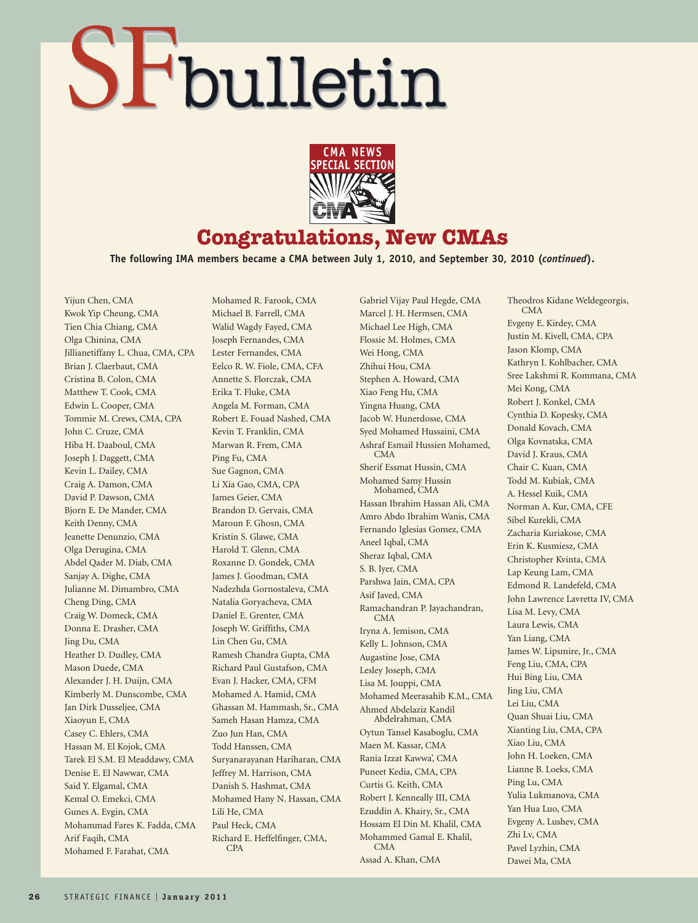## SFbulletin

Mohamed R. Farook, CMA



### **Congratulations, New CMAs**

**The following IMA members became a CMA between July 1, 2010, and September 30, 2010 (***continued***).** 

Yijun Chen, CMA Kwok Yip Cheung, CMA Tien Chia Chiang, CMA Olga Chinina, CMA Jillianetiffany L. Chua, CMA, CPA Brian J. Claerbaut, CMA Cristina B. Colon, CMA Matthew T. Cook, CMA Edwin L. Cooper, CMA Tommie M. Crews, CMA, CPA John C. Cruze, CMA Hiba H. Daaboul, CMA Joseph J. Daggett, CMA Kevin L. Dailey, CMA Craig A. Damon, CMA David P. Dawson, CMA Bjorn E. De Mander, CMA Keith Denny, CMA Jeanette Denunzio, CMA Olga Derugina, CMA Abdel Qader M. Diab, CMA Sanjay A. Dighe, CMA Julianne M. Dimambro, CMA Cheng Ding, CMA Craig W. Domeck, CMA Donna E. Drasher, CMA Jing Du, CMA Heather D. Dudley, CMA Mason Duede, CMA Alexander J. H. Duijn, CMA Kimberly M. Dunscombe, CMA Jan Dirk Dusseljee, CMA Xiaoyun E, CMA Casey C. Ehlers, CMA Hassan M. El Kojok, CMA Tarek El S.M. El Meaddawy, CMA Denise E. El Nawwar, CMA Said Y. Elgamal, CMA Kemal O. Emekci, CMA Gunes A. Evgin, CMA Mohammad Fares K. Fadda, CMA Arif Faqih, CMA Mohamed F. Farahat, CMA

Michael B. Farrell, CMA Walid Wagdy Fayed, CMA Joseph Fernandes, CMA Lester Fernandes, CMA Eelco R. W. Fiole, CMA, CFA Annette S. Florczak, CMA Erika T. Fluke, CMA Angela M. Forman, CMA Robert E. Fouad Nashed, CMA Kevin T. Franklin, CMA Marwan R. Frem, CMA Ping Fu, CMA Sue Gagnon, CMA Li Xia Gao, CMA, CPA James Geier, CMA Brandon D. Gervais, CMA Maroun F. Ghosn, CMA Kristin S. Glawe, CMA Harold T. Glenn, CMA Roxanne D. Gondek, CMA James J. Goodman, CMA Nadezhda Gornostaleva, CMA Natalia Goryacheva, CMA Daniel E. Grenter, CMA Joseph W. Griffiths, CMA Lin Chen Gu, CMA Ramesh Chandra Gupta, CMA Richard Paul Gustafson, CMA Evan J. Hacker, CMA, CFM Mohamed A. Hamid, CMA Ghassan M. Hammash, Sr., CMA Sameh Hasan Hamza, CMA Zuo Jun Han, CMA Todd Hanssen, CMA Suryanarayanan Hariharan, CMA Jeffrey M. Harrison, CMA Danish S. Hashmat, CMA Mohamed Hany N. Hassan, CMA Lili He, CMA Paul Heck, CMA Richard E. Heffelfinger, CMA, CPA

Gabriel Vijay Paul Hegde, CMA Marcel J. H. Hermsen, CMA Michael Lee High, CMA Flossie M. Holmes, CMA Wei Hong, CMA Zhihui Hou, CMA Stephen A. Howard, CMA Xiao Feng Hu, CMA Yingna Huang, CMA Jacob W. Hunerdosse, CMA Syed Mohamed Hussaini, CMA Ashraf Esmail Hussien Mohamed, CMA Sherif Essmat Hussin, CMA Mohamed Samy Hussin Mohamed, CMA Hassan Ibrahim Hassan Ali, CMA Amro Abdo Ibrahim Wanis, CMA Fernando Iglesias Gomez, CMA Aneel Iqbal, CMA Sheraz Iqbal, CMA S. B. Iyer, CMA Parshwa Jain, CMA, CPA Asif Javed, CMA Ramachandran P. Jayachandran, CMA Iryna A. Jemison, CMA Kelly L. Johnson, CMA Augastine Jose, CMA Lesley Joseph, CMA Lisa M. Jouppi, CMA Mohamed Meerasahib K.M., CMA Ahmed Abdelaziz Kandil Abdelrahman, CMA Oytun Tansel Kasaboglu, CMA Maen M. Kassar, CMA Rania Izzat Kawwa', CMA Puneet Kedia, CMA, CPA Curtis G. Keith, CMA Robert J. Kenneally III, CMA Ezuddin A. Khairy, Sr., CMA Hossam El Din M. Khalil, CMA Mohammed Gamal E. Khalil, CMA Assad A. Khan, CMA

Theodros Kidane Weldegeorgis, CMA Evgeny E. Kirdey, CMA Justin M. Kivell, CMA, CPA Jason Klomp, CMA Kathryn I. Kohlbacher, CMA Sree Lakshmi R. Kommana, CMA Mei Kong, CMA Robert J. Konkel, CMA Cynthia D. Kopesky, CMA Donald Kovach, CMA Olga Kovnatska, CMA David J. Kraus, CMA Chair C. Kuan, CMA Todd M. Kubiak, CMA A. Hessel Kuik, CMA Norman A. Kur, CMA, CFE Sibel Kurekli, CMA Zacharia Kuriakose, CMA Erin K. Kusmiesz, CMA Christopher Kvinta, CMA Lap Keung Lam, CMA Edmond R. Landefeld, CMA John Lawrence Lavretta IV, CMA Lisa M. Levy, CMA Laura Lewis, CMA Yan Liang, CMA James W. Lipsmire, Jr., CMA Feng Liu, CMA, CPA Hui Bing Liu, CMA Jing Liu, CMA Lei Liu, CMA Quan Shuai Liu, CMA Xianting Liu, CMA, CPA Xiao Liu, CMA John H. Loeken, CMA Lianne B. Loeks, CMA Ping Lu, CMA Yulia Lukmanova, CMA Yan Hua Luo, CMA Evgeny A. Lushev, CMA Zhi Lv, CMA Pavel Lyzhin, CMA Dawei Ma, CMA